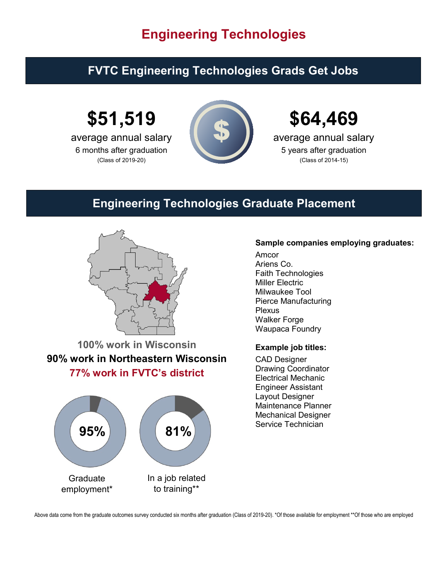# **Engineering Technologies**

## **FVTC Engineering Technologies Grads Get Jobs**

**\$51,519**

average annual salary 6 months after graduation (Class of 2019-20)





average annual salary 5 years after graduation (Class of 2014-15)

### **Engineering Technologies Graduate Placement**



**100% work in Wisconsin 90% work in Northeastern Wisconsin 77% work in FVTC's district**



### **Sample companies employing graduates:**

Amcor Ariens Co. Faith Technologies Miller Electric Milwaukee Tool Pierce Manufacturing Plexus Walker Forge Waupaca Foundry

#### **Example job titles:**

CAD Designer Drawing Coordinator Electrical Mechanic Engineer Assistant Layout Designer Maintenance Planner Mechanical Designer

Above data come from the graduate outcomes survey conducted six months after graduation (Class of 2019-20). \*Of those available for employment \*\*Of those who are employed